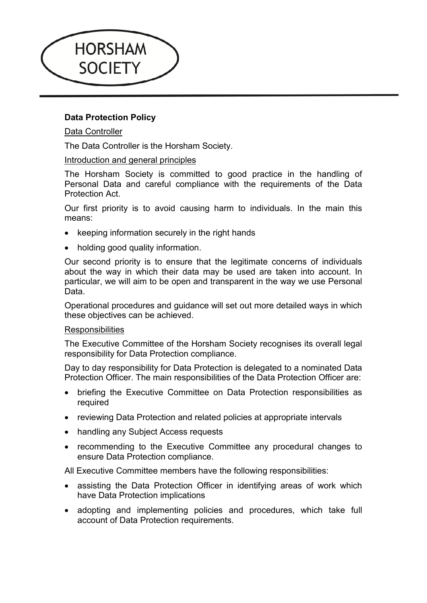

# **Data Protection Policy**

# Data Controller

The Data Controller is the Horsham Society.

## Introduction and general principles

The Horsham Society is committed to good practice in the handling of Personal Data and careful compliance with the requirements of the Data Protection Act.

Our first priority is to avoid causing harm to individuals. In the main this means:

- keeping information securely in the right hands
- holding good quality information.

Our second priority is to ensure that the legitimate concerns of individuals about the way in which their data may be used are taken into account. In particular, we will aim to be open and transparent in the way we use Personal Data.

Operational procedures and guidance will set out more detailed ways in which these objectives can be achieved.

### **Responsibilities**

The Executive Committee of the Horsham Society recognises its overall legal responsibility for Data Protection compliance.

Day to day responsibility for Data Protection is delegated to a nominated Data Protection Officer. The main responsibilities of the Data Protection Officer are:

- briefing the Executive Committee on Data Protection responsibilities as required
- reviewing Data Protection and related policies at appropriate intervals
- handling any Subject Access requests
- recommending to the Executive Committee any procedural changes to ensure Data Protection compliance.

All Executive Committee members have the following responsibilities:

- assisting the Data Protection Officer in identifying areas of work which have Data Protection implications
- adopting and implementing policies and procedures, which take full account of Data Protection requirements.